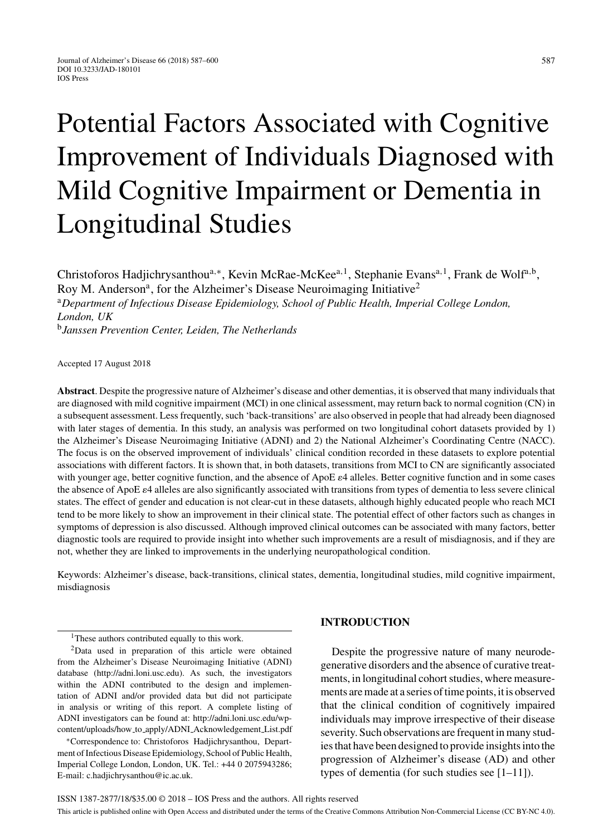# Potential Factors Associated with Cognitive Improvement of Individuals Diagnosed with Mild Cognitive Impairment or Dementia in Longitudinal Studies

Christoforos Hadjichrysanthou<sup>a,∗</sup>, Kevin McRae-McKee<sup>a, 1</sup>, Stephanie Evans<sup>a, 1</sup>, Frank de Wolf<sup>a, b</sup>, Roy M. Anderson<sup>a</sup>, for the Alzheimer's Disease Neuroimaging Initiative<sup>2</sup>

<sup>a</sup>*Department of Infectious Disease Epidemiology, School of Public Health, Imperial College London, London, UK*

<sup>b</sup>*Janssen Prevention Center, Leiden, The Netherlands*

Accepted 17 August 2018

**Abstract**. Despite the progressive nature of Alzheimer's disease and other dementias, it is observed that many individuals that are diagnosed with mild cognitive impairment (MCI) in one clinical assessment, may return back to normal cognition (CN) in a subsequent assessment. Less frequently, such 'back-transitions' are also observed in people that had already been diagnosed with later stages of dementia. In this study, an analysis was performed on two longitudinal cohort datasets provided by 1) the Alzheimer's Disease Neuroimaging Initiative (ADNI) and 2) the National Alzheimer's Coordinating Centre (NACC). The focus is on the observed improvement of individuals' clinical condition recorded in these datasets to explore potential associations with different factors. It is shown that, in both datasets, transitions from MCI to CN are significantly associated with younger age, better cognitive function, and the absence of ApoE  $\varepsilon$ 4 alleles. Better cognitive function and in some cases the absence of ApoE  $\varepsilon$ 4 alleles are also significantly associated with transitions from types of dementia to less severe clinical states. The effect of gender and education is not clear-cut in these datasets, although highly educated people who reach MCI tend to be more likely to show an improvement in their clinical state. The potential effect of other factors such as changes in symptoms of depression is also discussed. Although improved clinical outcomes can be associated with many factors, better diagnostic tools are required to provide insight into whether such improvements are a result of misdiagnosis, and if they are not, whether they are linked to improvements in the underlying neuropathological condition.

Keywords: Alzheimer's disease, back-transitions, clinical states, dementia, longitudinal studies, mild cognitive impairment, misdiagnosis

<sup>1</sup>These authors contributed equally to this work.

2Data used in preparation of this article were obtained from the Alzheimer's Disease Neuroimaging Initiative (ADNI) database [\(http://adni.loni.usc.edu](http://adni.loni.usc.edu)). As such, the investigators within the ADNI contributed to the design and implementation of ADNI and/or provided data but did not participate in analysis or writing of this report. A complete listing of ADNI investigators can be found at: http://adni.loni.usc.edu/wpcontent/uploads/how to apply/ADNI Acknowledgement List.pdf

<sup>∗</sup>Correspondence to: Christoforos Hadjichrysanthou, Department of Infectious Disease Epidemiology, School of Public Health, Imperial College London, London, UK. Tel.: +44 0 2075943286; E-mail: [c.hadjichrysanthou@ic.ac.uk](mailto:c.hadjichrysanthou@ic.ac.uk).

# **INTRODUCTION**

Despite the progressive nature of many neurodegenerative disorders and the absence of curative treatments, in longitudinal cohort studies, where measurements are made at a series of time points, it is observed that the clinical condition of cognitively impaired [individuals](http://adni.loni.usc.edu/wp-content/uploads/how_to_apply/ADNI_Acknowledgement_List.pdf) [may](http://adni.loni.usc.edu/wp-content/uploads/how_to_apply/ADNI_Acknowledgement_List.pdf) [improve](http://adni.loni.usc.edu/wp-content/uploads/how_to_apply/ADNI_Acknowledgement_List.pdf) [irrespective](http://adni.loni.usc.edu/wp-content/uploads/how_to_apply/ADNI_Acknowledgement_List.pdf) [of](http://adni.loni.usc.edu/wp-content/uploads/how_to_apply/ADNI_Acknowledgement_List.pdf) [thei](http://adni.loni.usc.edu/wp-content/uploads/how_to_apply/ADNI_Acknowledgement_List.pdf)r disease severity. Such observations are frequent in many studies that have been designed to provide insights into the progression of Alzheimer's disease (AD) and other types of dementia (for such studies see [1–11]).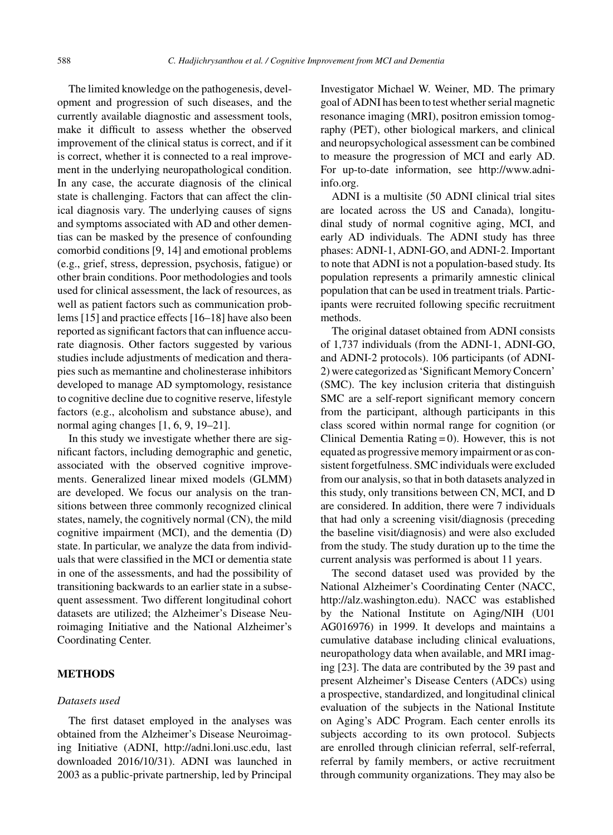The limited knowledge on the pathogenesis, development and progression of such diseases, and the currently available diagnostic and assessment tools, make it difficult to assess whether the observed improvement of the clinical status is correct, and if it is correct, whether it is connected to a real improvement in the underlying neuropathological condition. In any case, the accurate diagnosis of the clinical state is challenging. Factors that can affect the clinical diagnosis vary. The underlying causes of signs and symptoms associated with AD and other dementias can be masked by the presence of confounding comorbid conditions [9, 14] and emotional problems (e.g., grief, stress, depression, psychosis, fatigue) or other brain conditions. Poor methodologies and tools used for clinical assessment, the lack of resources, as well as patient factors such as communication problems [15] and practice effects [16–18] have also been reported as significant factors that can influence accurate diagnosis. Other factors suggested by various studies include adjustments of medication and therapies such as memantine and cholinesterase inhibitors developed to manage AD symptomology, resistance to cognitive decline due to cognitive reserve, lifestyle factors (e.g., alcoholism and substance abuse), and normal aging changes [1, 6, 9, 19–21].

In this study we investigate whether there are significant factors, including demographic and genetic, associated with the observed cognitive improvements. Generalized linear mixed models (GLMM) are developed. We focus our analysis on the transitions between three commonly recognized clinical states, namely, the cognitively normal (CN), the mild cognitive impairment (MCI), and the dementia (D) state. In particular, we analyze the data from individuals that were classified in the MCI or dementia state in one of the assessments, and had the possibility of transitioning backwards to an earlier state in a subsequent assessment. Two different longitudinal cohort datasets are utilized; the Alzheimer's Disease Neuroimaging Initiative and the National Alzheimer's Coordinating Center.

## **METHODS**

### *Datasets used*

The first dataset employed in the analyses was obtained from the Alzheimer's Disease Neuroimaging Initiative (ADNI, [http://adni.loni.usc.edu, last](http://adni.loni.usc.edu, last downloaded 2016/10/31) downloaded 2016/10/31). ADNI was launched in 2003 as a public-private partnership, led by Principal

Investigator Michael W. Weiner, MD. The primary goal of ADNI has been to test whether serial magnetic resonance imaging (MRI), positron emission tomography (PET), other biological markers, and clinical and neuropsychological assessment can be combined to measure the progression of MCI and early AD. For up-to-date information, see [http://www.adni](http://www.adni-info.org)info.org.

ADNI is a multisite (50 ADNI clinical trial sites are located across the US and Canada), longitudinal study of normal cognitive aging, MCI, and early AD individuals. The ADNI study has three phases: ADNI-1, ADNI-GO, and ADNI-2. Important to note that ADNI is not a population-based study. Its population represents a primarily amnestic clinical population that can be used in treatment trials. Participants were recruited following specific recruitment methods.

The original dataset obtained from ADNI consists of 1,737 individuals (from the ADNI-1, ADNI-GO, and ADNI-2 protocols). 106 participants (of ADNI-2) were categorized as 'Significant Memory Concern' (SMC). The key inclusion criteria that distinguish SMC are a self-report significant memory concern from the participant, although participants in this class scored within normal range for cognition (or Clinical Dementia Rating  $= 0$ ). However, this is not equated as progressive memory impairment or as consistent forgetfulness. SMC individuals were excluded from our analysis, so that in both datasets analyzed in this study, only transitions between CN, MCI, and D are considered. In addition, there were 7 individuals that had only a screening visit/diagnosis (preceding the baseline visit/diagnosis) and were also excluded from the study. The study duration up to the time the current analysis was performed is about 11 years.

The second dataset used was provided by the National Alzheimer's Coordinating Center (NACC, <http://alz.washington.edu>). NACC was established by the National Institute on Aging/NIH (U01 AG016976) in 1999. It develops and maintains a cumulative database including clinical evaluations, neuropathology data when available, and MRI imaging [23]. The data are contributed by the 39 past and present Alzheimer's Disease Centers (ADCs) using a prospective, standardized, and longitudinal clinical evaluation of the subjects in the National Institute on Aging's ADC Program. Each center enrolls its subjects according to its own protocol. Subjects are enrolled through clinician referral, self-referral, referral by family members, or active recruitment through community organizations. They may also be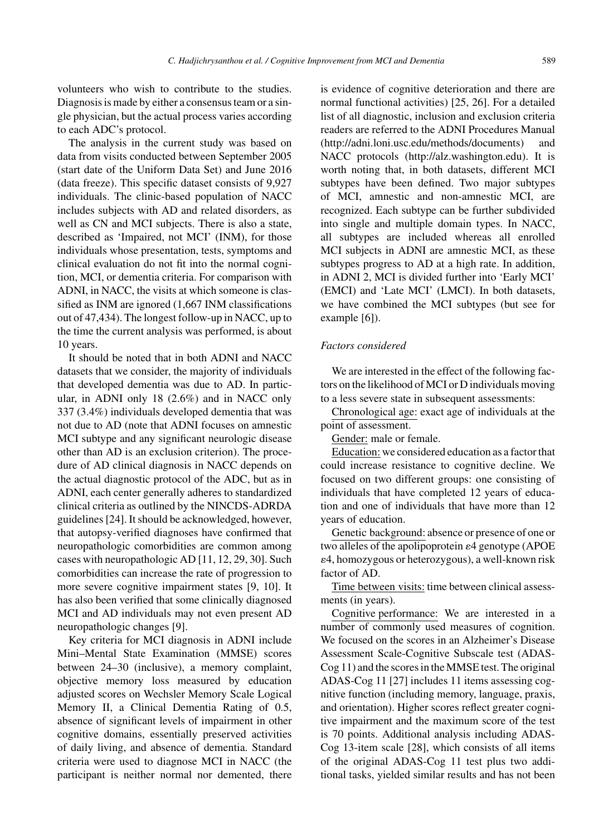volunteers who wish to contribute to the studies. Diagnosis is made by either a consensus team or a single physician, but the actual process varies according to each ADC's protocol.

The analysis in the current study was based on data from visits conducted between September 2005 (start date of the Uniform Data Set) and June 2016 (data freeze). This specific dataset consists of 9,927 individuals. The clinic-based population of NACC includes subjects with AD and related disorders, as well as CN and MCI subjects. There is also a state, described as 'Impaired, not MCI' (INM), for those individuals whose presentation, tests, symptoms and clinical evaluation do not fit into the normal cognition, MCI, or dementia criteria. For comparison with ADNI, in NACC, the visits at which someone is classified as INM are ignored (1,667 INM classifications out of 47,434). The longest follow-up in NACC, up to the time the current analysis was performed, is about 10 years.

It should be noted that in both ADNI and NACC datasets that we consider, the majority of individuals that developed dementia was due to AD. In particular, in ADNI only 18 (2.6%) and in NACC only 337 (3.4%) individuals developed dementia that was not due to AD (note that ADNI focuses on amnestic MCI subtype and any significant neurologic disease other than AD is an exclusion criterion). The procedure of AD clinical diagnosis in NACC depends on the actual diagnostic protocol of the ADC, but as in ADNI, each center generally adheres to standardized clinical criteria as outlined by the NINCDS-ADRDA guidelines [24]. It should be acknowledged, however, that autopsy-verified diagnoses have confirmed that neuropathologic comorbidities are common among cases with neuropathologic AD [11, 12, 29, 30]. Such comorbidities can increase the rate of progression to more severe cognitive impairment states [9, 10]. It has also been verified that some clinically diagnosed MCI and AD individuals may not even present AD neuropathologic changes [9].

Key criteria for MCI diagnosis in ADNI include Mini–Mental State Examination (MMSE) scores between 24–30 (inclusive), a memory complaint, objective memory loss measured by education adjusted scores on Wechsler Memory Scale Logical Memory II, a Clinical Dementia Rating of 0.5, absence of significant levels of impairment in other cognitive domains, essentially preserved activities of daily living, and absence of dementia. Standard criteria were used to diagnose MCI in NACC (the participant is neither normal nor demented, there

is evidence of cognitive deterioration and there are normal functional activities) [25, 26]. For a detailed list of all diagnostic, inclusion and exclusion criteria readers are referred to the ADNI Procedures Manual [\(http://adni.loni.usc.edu/methods/documents](http://adni.loni.usc.edu/methods/documents)) and NACC protocols [\(http://alz.washington.edu\)](http://alz.washington.edu). It is worth noting that, in both datasets, different MCI subtypes have been defined. Two major subtypes of MCI, amnestic and non-amnestic MCI, are recognized. Each subtype can be further subdivided into single and multiple domain types. In NACC, all subtypes are included whereas all enrolled MCI subjects in ADNI are amnestic MCI, as these subtypes progress to AD at a high rate. In addition, in ADNI 2, MCI is divided further into 'Early MCI' (EMCI) and 'Late MCI' (LMCI). In both datasets, we have combined the MCI subtypes (but see for example [6]).

## *Factors considered*

We are interested in the effect of the following factors on the likelihood of MCI or D individuals moving to a less severe state in subsequent assessments:

Chronological age: exact age of individuals at the point of assessment.

Gender: male or female.

Education: we considered education as a factor that could increase resistance to cognitive decline. We focused on two different groups: one consisting of individuals that have completed 12 years of education and one of individuals that have more than 12 years of education.

Genetic background: absence or presence of one or two alleles of the apolipoprotein  $\varepsilon$ 4 genotype (APOE -4, homozygous or heterozygous), a well-known risk factor of AD.

Time between visits: time between clinical assessments (in years).

Cognitive performance: We are interested in a number of commonly used measures of cognition. We focused on the scores in an Alzheimer's Disease Assessment Scale-Cognitive Subscale test (ADAS-Cog 11) and the scores in the MMSE test. The original ADAS-Cog 11 [27] includes 11 items assessing cognitive function (including memory, language, praxis, and orientation). Higher scores reflect greater cognitive impairment and the maximum score of the test is 70 points. Additional analysis including ADAS-Cog 13-item scale [28], which consists of all items of the original ADAS-Cog 11 test plus two additional tasks, yielded similar results and has not been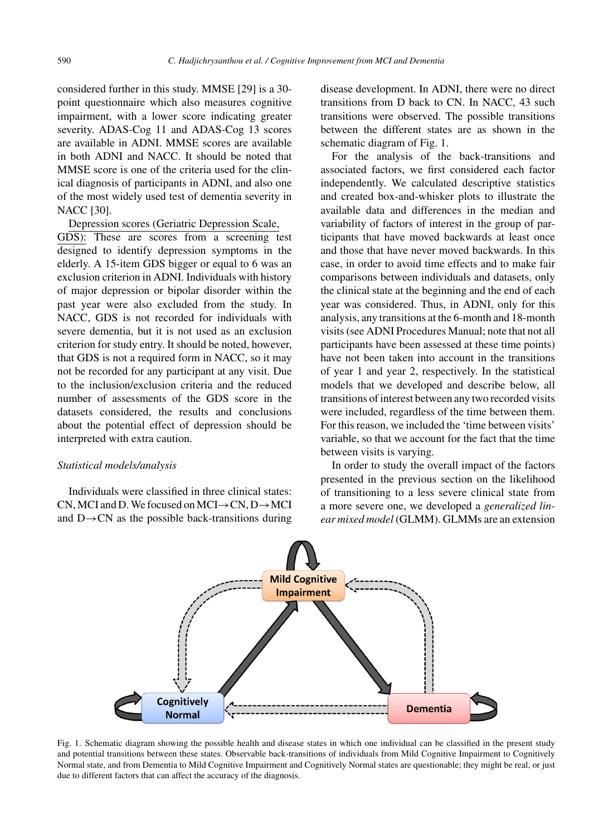considered further in this study. MMSE [29] is a 30 point questionnaire which also measures cognitive impairment, with a lower score indicating greater severity. ADAS-Cog 11 and ADAS-Cog 13 scores are available in ADNI. MMSE scores are available in both ADNI and NACC. It should be noted that MMSE score is one of the criteria used for the clinical diagnosis of participants in ADNI, and also one of the most widely used test of dementia severity in NACC [30].

# Depression scores (Geriatric Depression Scale,

GDS): These are scores from a screening test designed to identify depression symptoms in the elderly. A 15-item GDS bigger or equal to 6 was an exclusion criterion in ADNI. Individuals with history of major depression or bipolar disorder within the past year were also excluded from the study. In NACC, GDS is not recorded for individuals with severe dementia, but it is not used as an exclusion criterion for study entry. It should be noted, however, that GDS is not a required form in NACC, so it may not be recorded for any participant at any visit. Due to the inclusion/exclusion criteria and the reduced number of assessments of the GDS score in the datasets considered, the results and conclusions about the potential effect of depression should be interpreted with extra caution.

## *Statistical models/analysis*

Individuals were classified in three clinical states: CN, MCI and D. We focused on MCI $\rightarrow$ CN, D $\rightarrow$ MCI and  $D \rightarrow CN$  as the possible back-transitions during disease development. In ADNI, there were no direct transitions from D back to CN. In NACC, 43 such transitions were observed. The possible transitions between the different states are as shown in the schematic diagram of Fig. 1.

For the analysis of the back-transitions and associated factors, we first considered each factor independently. We calculated descriptive statistics and created box-and-whisker plots to illustrate the available data and differences in the median and variability of factors of interest in the group of participants that have moved backwards at least once and those that have never moved backwards. In this case, in order to avoid time effects and to make fair comparisons between individuals and datasets, only the clinical state at the beginning and the end of each year was considered. Thus, in ADNI, only for this analysis, any transitions at the 6-month and 18-month visits (see ADNI Procedures Manual; note that not all participants have been assessed at these time points) have not been taken into account in the transitions of year 1 and year 2, respectively. In the statistical models that we developed and describe below, all transitions of interest between any two recorded visits were included, regardless of the time between them. For this reason, we included the 'time between visits' variable, so that we account for the fact that the time between visits is varying.

In order to study the overall impact of the factors presented in the previous section on the likelihood of transitioning to a less severe clinical state from a more severe one, we developed a *generalized linear mixed model* (GLMM). GLMMs are an extension



Fig. 1. Schematic diagram showing the possible health and disease states in which one individual can be classified in the present study and potential transitions between these states. Observable back-transitions of individuals from Mild Cognitive Impairment to Cognitively Normal state, and from Dementia to Mild Cognitive Impairment and Cognitively Normal states are questionable; they might be real, or just due to different factors that can affect the accuracy of the diagnosis.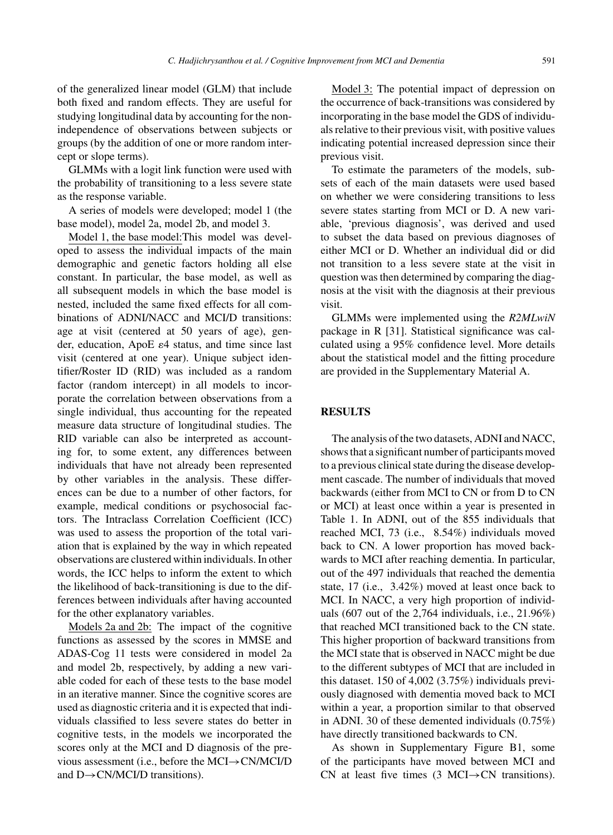of the generalized linear model (GLM) that include both fixed and random effects. They are useful for studying longitudinal data by accounting for the nonindependence of observations between subjects or groups (by the addition of one or more random intercept or slope terms).

GLMMs with a logit link function were used with the probability of transitioning to a less severe state as the response variable.

A series of models were developed; model 1 (the base model), model 2a, model 2b, and model 3.

Model 1, the base model:This model was developed to assess the individual impacts of the main demographic and genetic factors holding all else constant. In particular, the base model, as well as all subsequent models in which the base model is nested, included the same fixed effects for all combinations of ADNI/NACC and MCI/D transitions: age at visit (centered at 50 years of age), gender, education, ApoE  $\varepsilon$ 4 status, and time since last visit (centered at one year). Unique subject identifier/Roster ID (RID) was included as a random factor (random intercept) in all models to incorporate the correlation between observations from a single individual, thus accounting for the repeated measure data structure of longitudinal studies. The RID variable can also be interpreted as accounting for, to some extent, any differences between individuals that have not already been represented by other variables in the analysis. These differences can be due to a number of other factors, for example, medical conditions or psychosocial factors. The Intraclass Correlation Coefficient (ICC) was used to assess the proportion of the total variation that is explained by the way in which repeated observations are clustered within individuals. In other words, the ICC helps to inform the extent to which the likelihood of back-transitioning is due to the differences between individuals after having accounted for the other explanatory variables.

Models 2a and 2b: The impact of the cognitive functions as assessed by the scores in MMSE and ADAS-Cog 11 tests were considered in model 2a and model 2b, respectively, by adding a new variable coded for each of these tests to the base model in an iterative manner. Since the cognitive scores are used as diagnostic criteria and it is expected that individuals classified to less severe states do better in cognitive tests, in the models we incorporated the scores only at the MCI and D diagnosis of the previous assessment (i.e., before the MCI→CN/MCI/D and  $D \rightarrow CN/MC I/D$  transitions).

Model 3: The potential impact of depression on the occurrence of back-transitions was considered by incorporating in the base model the GDS of individuals relative to their previous visit, with positive values indicating potential increased depression since their previous visit.

To estimate the parameters of the models, subsets of each of the main datasets were used based on whether we were considering transitions to less severe states starting from MCI or D. A new variable, 'previous diagnosis', was derived and used to subset the data based on previous diagnoses of either MCI or D. Whether an individual did or did not transition to a less severe state at the visit in question was then determined by comparing the diagnosis at the visit with the diagnosis at their previous visit.

GLMMs were implemented using the *R2MLwiN* package in R [31]. Statistical significance was calculated using a 95% confidence level. More details about the statistical model and the fitting procedure are provided in the Supplementary Material A.

## **RESULTS**

The analysis of the two datasets, ADNI and NACC, shows that a significant number of participants moved to a previous clinical state during the disease development cascade. The number of individuals that moved backwards (either from MCI to CN or from D to CN or MCI) at least once within a year is presented in Table 1. In ADNI, out of the 855 individuals that reached MCI, 73 (i.e., 8.54%) individuals moved back to CN. A lower proportion has moved backwards to MCI after reaching dementia. In particular, out of the 497 individuals that reached the dementia state, 17 (i.e., 3.42%) moved at least once back to MCI. In NACC, a very high proportion of individuals (607 out of the 2,764 individuals, i.e., 21.96%) that reached MCI transitioned back to the CN state. This higher proportion of backward transitions from the MCI state that is observed in NACC might be due to the different subtypes of MCI that are included in this dataset. 150 of 4,002 (3.75%) individuals previously diagnosed with dementia moved back to MCI within a year, a proportion similar to that observed in ADNI. 30 of these demented individuals (0.75%) have directly transitioned backwards to CN.

As shown in Supplementary Figure B1, some of the participants have moved between MCI and CN at least five times  $(3 \text{ MCI} \rightarrow \text{CN} \text{ transitions}).$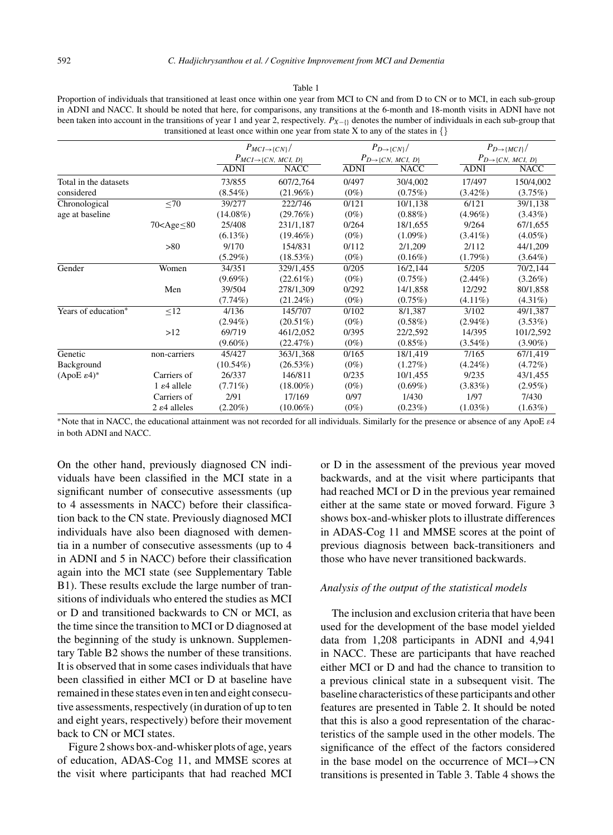#### Table 1

Proportion of individuals that transitioned at least once within one year from MCI to CN and from D to CN or to MCI, in each sub-group in ADNI and NACC. It should be noted that here, for comparisons, any transitions at the 6-month and 18-month visits in ADNI have not been taken into account in the transitions of year 1 and year 2, respectively.  $P_{X-{}_{\text{I}}}\,$  denotes the number of individuals in each sub-group that transitioned at least once within one year from state X to any of the states in  $\{\}$ 

|                       |                                                                                                                             | $P_{MCI\rightarrow\{CN\}}/$<br>$P_{MCI\rightarrow\{CN, MCI, D\}}$ |             | $P_{D\rightarrow\{CN\}}/$<br>$P_{D\rightarrow\{CN,\;MCI,\;D\}}$ |             | $P_{D\rightarrow \{MCI\}}/$<br>$P_{D\rightarrow\{CN,\;MCI,\;D\}}$ |             |
|-----------------------|-----------------------------------------------------------------------------------------------------------------------------|-------------------------------------------------------------------|-------------|-----------------------------------------------------------------|-------------|-------------------------------------------------------------------|-------------|
|                       |                                                                                                                             |                                                                   |             |                                                                 |             |                                                                   |             |
|                       |                                                                                                                             | ADNI                                                              | <b>NACC</b> | <b>ADNI</b>                                                     | <b>NACC</b> | <b>ADNI</b>                                                       | <b>NACC</b> |
| Total in the datasets |                                                                                                                             | 73/855                                                            | 607/2,764   | 0/497                                                           | 30/4,002    | 17/497                                                            | 150/4,002   |
| considered            |                                                                                                                             | $(8.54\%)$                                                        | $(21.96\%)$ | $(0\%)$                                                         | $(0.75\%)$  | $(3.42\%)$                                                        | (3.75%)     |
| Chronological         | $\leq 70$                                                                                                                   | 39/277                                                            | 222/746     | 0/121                                                           | 10/1,138    | 6/121                                                             | 39/1,138    |
| age at baseline       |                                                                                                                             | $(14.08\%)$                                                       | (29.76%)    | $(0\%)$                                                         | $(0.88\%)$  | $(4.96\%)$                                                        | $(3.43\%)$  |
|                       | 70 <age≤80< td=""><td>25/408</td><td>231/1,187</td><td>0/264</td><td>18/1,655</td><td>9/264</td><td>67/1,655</td></age≤80<> | 25/408                                                            | 231/1,187   | 0/264                                                           | 18/1,655    | 9/264                                                             | 67/1,655    |
|                       |                                                                                                                             | $(6.13\%)$                                                        | $(19.46\%)$ | $(0\%)$                                                         | $(1.09\%)$  | $(3.41\%)$                                                        | $(4.05\%)$  |
|                       | > 80                                                                                                                        | 9/170                                                             | 154/831     | 0/112                                                           | 2/1,209     | 2/112                                                             | 44/1,209    |
|                       |                                                                                                                             | $(5.29\%)$                                                        | (18.53%)    | $(0\%)$                                                         | $(0.16\%)$  | $(1.79\%)$                                                        | $(3.64\%)$  |
| Gender                | Women                                                                                                                       | 34/351                                                            | 329/1.455   | 0/205                                                           | 16/2,144    | 5/205                                                             | 70/2,144    |
|                       |                                                                                                                             | $(9.69\%)$                                                        | $(22.61\%)$ | $(0\%)$                                                         | $(0.75\%)$  | $(2.44\%)$                                                        | $(3.26\%)$  |
|                       | Men                                                                                                                         | 39/504                                                            | 278/1,309   | 0/292                                                           | 14/1,858    | 12/292                                                            | 80/1,858    |
|                       |                                                                                                                             | $(7.74\%)$                                                        | $(21.24\%)$ | $(0\%)$                                                         | $(0.75\%)$  | $(4.11\%)$                                                        | $(4.31\%)$  |
| Years of education*   | $\leq$ 12                                                                                                                   | 4/136                                                             | 145/707     | 0/102                                                           | 8/1,387     | 3/102                                                             | 49/1,387    |
|                       |                                                                                                                             | $(2.94\%)$                                                        | $(20.51\%)$ | $(0\%)$                                                         | $(0.58\%)$  | $(2.94\%)$                                                        | $(3.53\%)$  |
|                       | >12                                                                                                                         | 69/719                                                            | 461/2,052   | 0/395                                                           | 22/2,592    | 14/395                                                            | 101/2,592   |
|                       |                                                                                                                             | $(9.60\%)$                                                        | (22.47%)    | $(0\%)$                                                         | $(0.85\%)$  | $(3.54\%)$                                                        | $(3.90\%)$  |
| Genetic               | non-carriers                                                                                                                | 45/427                                                            | 363/1,368   | 0/165                                                           | 18/1,419    | 7/165                                                             | 67/1,419    |
| Background            |                                                                                                                             | $(10.54\%)$                                                       | $(26.53\%)$ | $(0\%)$                                                         | $(1.27\%)$  | $(4.24\%)$                                                        | $(4.72\%)$  |
| $(ApoE \epsilon 4)^*$ | Carriers of                                                                                                                 | 26/337                                                            | 146/811     | 0/235                                                           | 10/1,455    | 9/235                                                             | 43/1,455    |
|                       | $1 \epsilon 4$ allele                                                                                                       | $(7.71\%)$                                                        | $(18.00\%)$ | $(0\%)$                                                         | $(0.69\%)$  | $(3.83\%)$                                                        | $(2.95\%)$  |
|                       | Carriers of                                                                                                                 | 2/91                                                              | 17/169      | 0/97                                                            | 1/430       | 1/97                                                              | 7/430       |
|                       | $2 \epsilon 4$ alleles                                                                                                      | $(2.20\%)$                                                        | $(10.06\%)$ | $(0\%)$                                                         | $(0.23\%)$  | $(1.03\%)$                                                        | $(1.63\%)$  |

<sup>∗</sup>Note that in NACC, the educational attainment was not recorded for all individuals. Similarly for the presence or absence of any ApoE ε4 in both ADNI and NACC.

On the other hand, previously diagnosed CN individuals have been classified in the MCI state in a significant number of consecutive assessments (up to 4 assessments in NACC) before their classification back to the CN state. Previously diagnosed MCI individuals have also been diagnosed with dementia in a number of consecutive assessments (up to 4 in ADNI and 5 in NACC) before their classification again into the MCI state (see Supplementary Table B1). These results exclude the large number of transitions of individuals who entered the studies as MCI or D and transitioned backwards to CN or MCI, as the time since the transition to MCI or D diagnosed at the beginning of the study is unknown. Supplementary Table B2 shows the number of these transitions. It is observed that in some cases individuals that have been classified in either MCI or D at baseline have remained in these states even in ten and eight consecutive assessments, respectively (in duration of up to ten and eight years, respectively) before their movement back to CN or MCI states.

Figure 2 shows box-and-whisker plots of age, years of education, ADAS-Cog 11, and MMSE scores at the visit where participants that had reached MCI or D in the assessment of the previous year moved backwards, and at the visit where participants that had reached MCI or D in the previous year remained either at the same state or moved forward. Figure 3 shows box-and-whisker plots to illustrate differences in ADAS-Cog 11 and MMSE scores at the point of previous diagnosis between back-transitioners and those who have never transitioned backwards.

## *Analysis of the output of the statistical models*

The inclusion and exclusion criteria that have been used for the development of the base model yielded data from 1,208 participants in ADNI and 4,941 in NACC. These are participants that have reached either MCI or D and had the chance to transition to a previous clinical state in a subsequent visit. The baseline characteristics of these participants and other features are presented in Table 2. It should be noted that this is also a good representation of the characteristics of the sample used in the other models. The significance of the effect of the factors considered in the base model on the occurrence of MCI→CN transitions is presented in Table 3. Table 4 shows the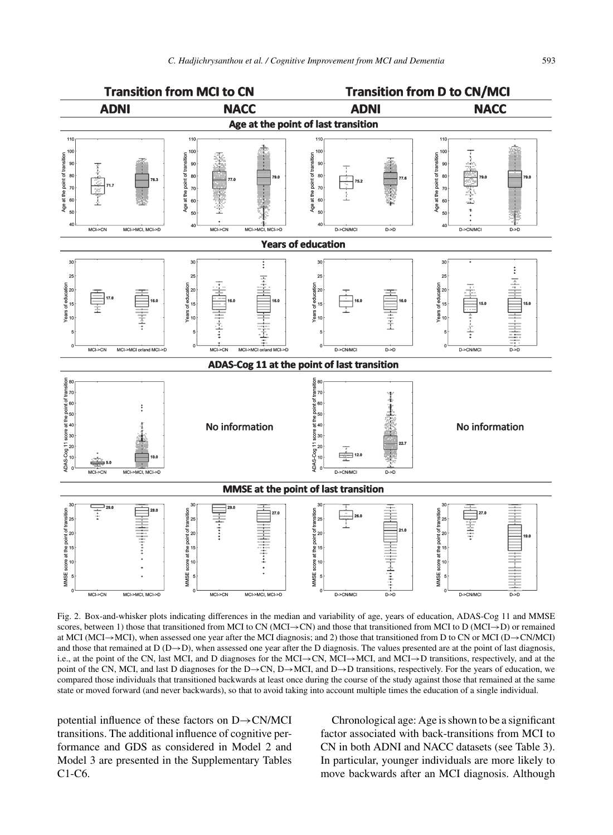

Fig. 2. Box-and-whisker plots indicating differences in the median and variability of age, years of education, ADAS-Cog 11 and MMSE scores, between 1) those that transitioned from MCI to CN (MCI→CN) and those that transitioned from MCI to D (MCI→D) or remained at MCI (MCI→MCI), when assessed one year after the MCI diagnosis; and 2) those that transitioned from D to CN or MCI (D→CN/MCI) and those that remained at D  $(D\rightarrow D)$ , when assessed one year after the D diagnosis. The values presented are at the point of last diagnosis, i.e., at the point of the CN, last MCI, and D diagnoses for the MCI→CN, MCI→MCI, and MCI→D transitions, respectively, and at the point of the CN, MCI, and last D diagnoses for the D→CN, D→MCI, and D→D transitions, respectively. For the years of education, we compared those individuals that transitioned backwards at least once during the course of the study against those that remained at the same state or moved forward (and never backwards), so that to avoid taking into account multiple times the education of a single individual.

potential influence of these factors on D→CN/MCI transitions. The additional influence of cognitive performance and GDS as considered in Model 2 and Model 3 are presented in the Supplementary Tables C1-C6.

Chronological age: Age is shown to be a significant factor associated with back-transitions from MCI to CN in both ADNI and NACC datasets (see Table 3). In particular, younger individuals are more likely to move backwards after an MCI diagnosis. Although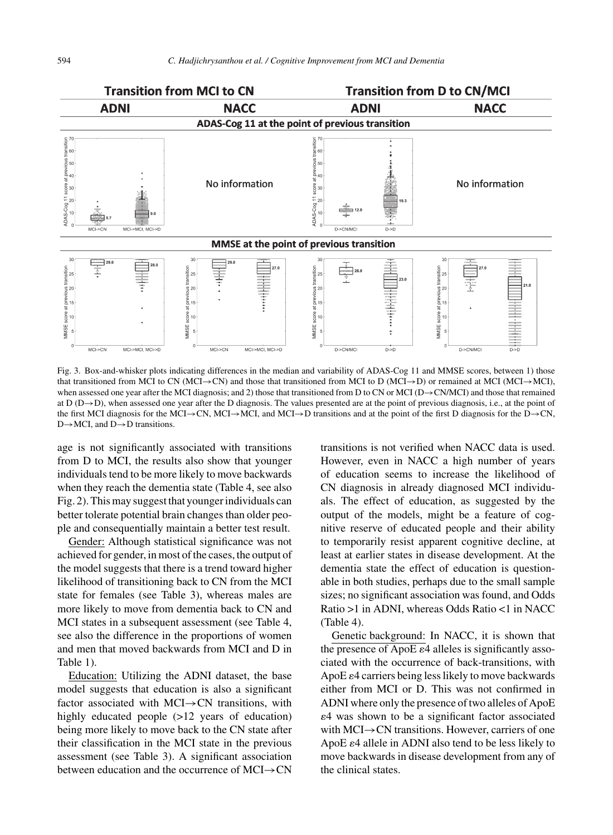

Fig. 3. Box-and-whisker plots indicating differences in the median and variability of ADAS-Cog 11 and MMSE scores, between 1) those that transitioned from MCI to CN (MCI→CN) and those that transitioned from MCI to D (MCI→D) or remained at MCI (MCI→MCI), when assessed one year after the MCI diagnosis; and 2) those that transitioned from D to CN or MCI (D→CN/MCI) and those that remained at D (D $\rightarrow$ D), when assessed one year after the D diagnosis. The values presented are at the point of previous diagnosis, i.e., at the point of the first MCI diagnosis for the MCI→CN, MCI→MCI, and MCI→D transitions and at the point of the first D diagnosis for the D→CN, D→MCI, and D→D transitions.

age is not significantly associated with transitions from D to MCI, the results also show that younger individuals tend to be more likely to move backwards when they reach the dementia state (Table 4, see also Fig. 2). This may suggest that younger individuals can better tolerate potential brain changes than older people and consequentially maintain a better test result.

Gender: Although statistical significance was not achieved for gender, in most of the cases, the output of the model suggests that there is a trend toward higher likelihood of transitioning back to CN from the MCI state for females (see Table 3), whereas males are more likely to move from dementia back to CN and MCI states in a subsequent assessment (see Table 4, see also the difference in the proportions of women and men that moved backwards from MCI and D in Table 1).

Education: Utilizing the ADNI dataset, the base model suggests that education is also a significant factor associated with  $MCI \rightarrow CN$  transitions, with highly educated people ( $>12$  years of education) being more likely to move back to the CN state after their classification in the MCI state in the previous assessment (see Table 3). A significant association between education and the occurrence of MCI→CN

transitions is not verified when NACC data is used. However, even in NACC a high number of years of education seems to increase the likelihood of CN diagnosis in already diagnosed MCI individuals. The effect of education, as suggested by the output of the models, might be a feature of cognitive reserve of educated people and their ability to temporarily resist apparent cognitive decline, at least at earlier states in disease development. At the dementia state the effect of education is questionable in both studies, perhaps due to the small sample sizes; no significant association was found, and Odds Ratio >1 in ADNI, whereas Odds Ratio <1 in NACC (Table 4).

Genetic background: In NACC, it is shown that the presence of ApoE  $\varepsilon$ 4 alleles is significantly associated with the occurrence of back-transitions, with ApoE  $\varepsilon$ 4 carriers being less likely to move backwards either from MCI or D. This was not confirmed in ADNI where only the presence of two alleles of ApoE -4 was shown to be a significant factor associated with MCI→CN transitions. However, carriers of one ApoE  $\varepsilon$ 4 allele in ADNI also tend to be less likely to move backwards in disease development from any of the clinical states.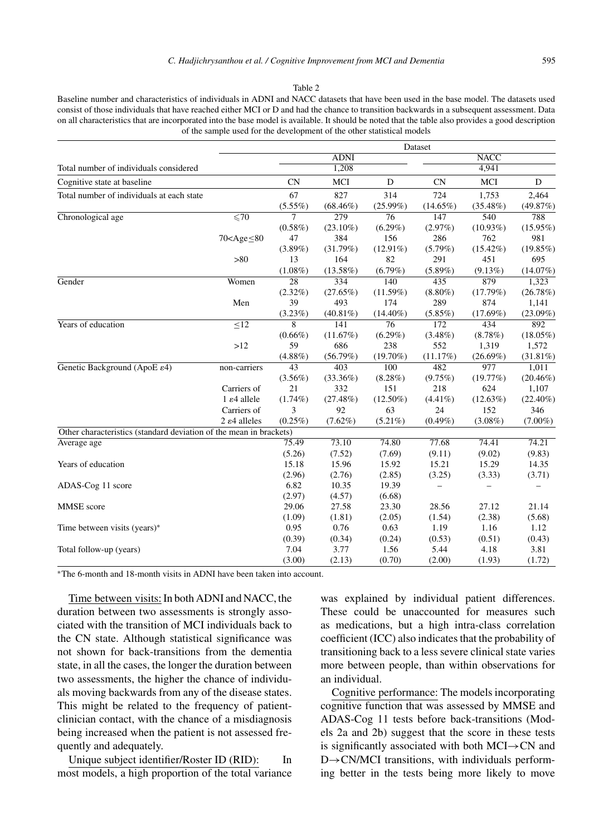#### Table 2

Baseline number and characteristics of individuals in ADNI and NACC datasets that have been used in the base model. The datasets used consist of those individuals that have reached either MCI or D and had the chance to transition backwards in a subsequent assessment. Data on all characteristics that are incorporated into the base model is available. It should be noted that the table also provides a good description of the sample used for the development of the other statistical models

|                                                                    |                                | Dataset    |             |                      |             |             |             |  |  |
|--------------------------------------------------------------------|--------------------------------|------------|-------------|----------------------|-------------|-------------|-------------|--|--|
|                                                                    | <b>ADNI</b><br>1,208           |            |             | <b>NACC</b><br>4,941 |             |             |             |  |  |
| Total number of individuals considered                             |                                |            |             |                      |             |             |             |  |  |
| Cognitive state at baseline                                        |                                | <b>CN</b>  | MCI         | D                    | <b>CN</b>   | MCI         | D           |  |  |
| Total number of individuals at each state                          |                                | 67         | 827         | 314                  | 724         | 1,753       | 2,464       |  |  |
|                                                                    |                                | $(5.55\%)$ | $(68.46\%)$ | $(25.99\%)$          | $(14.65\%)$ | $(35.48\%)$ | (49.87%)    |  |  |
| Chronological age                                                  | $\leq 70$                      | 7          | 279         | 76                   | 147         | 540         | 788         |  |  |
|                                                                    |                                | $(0.58\%)$ | $(23.10\%)$ | $(6.29\%)$           | (2.97%)     | $(10.93\%)$ | (15.95%)    |  |  |
|                                                                    | 70 <age<math>\leq80</age<math> | 47         | 384         | 156                  | 286         | 762         | 981         |  |  |
|                                                                    |                                | $(3.89\%)$ | (31.79%)    | $(12.91\%)$          | (5.79%)     | $(15.42\%)$ | (19.85%)    |  |  |
|                                                                    | >80                            | 13         | 164         | 82                   | 291         | 451         | 695         |  |  |
|                                                                    |                                | $(1.08\%)$ | $(13.58\%)$ | $(6.79\%)$           | $(5.89\%)$  | $(9.13\%)$  | (14.07%)    |  |  |
| Gender                                                             | Women                          | 28         | 334         | 140                  | 435         | 879         | 1,323       |  |  |
|                                                                    |                                | $(2.32\%)$ | $(27.65\%)$ | (11.59%)             | $(8.80\%)$  | (17.79%)    | (26.78%)    |  |  |
|                                                                    | Men                            | 39         | 493         | 174                  | 289         | 874         | 1,141       |  |  |
|                                                                    |                                | $(3.23\%)$ | $(40.81\%)$ | $(14.40\%)$          | $(5.85\%)$  | (17.69%)    | $(23.09\%)$ |  |  |
| Years of education                                                 | $\leq$ 12                      | 8          | 141         | 76                   | 172         | 434         | 892         |  |  |
|                                                                    |                                | $(0.66\%)$ | (11.67%)    | $(6.29\%)$           | $(3.48\%)$  | $(8.78\%)$  | $(18.05\%)$ |  |  |
|                                                                    | >12                            | 59         | 686         | 238                  | 552         | 1,319       | 1,572       |  |  |
|                                                                    |                                | $(4.88\%)$ | (56.79%)    | $(19.70\%)$          | (11.17%)    | $(26.69\%)$ | $(31.81\%)$ |  |  |
| Genetic Background (ApoE $\varepsilon$ 4)                          | non-carriers                   | 43         | 403         | 100                  | 482         | 977         | 1,011       |  |  |
|                                                                    |                                | $(3.56\%)$ | $(33.36\%)$ | $(8.28\%)$           | (9.75%)     | (19.77%)    | $(20.46\%)$ |  |  |
|                                                                    | Carriers of                    | 21         | 332         | 151                  | 218         | 624         | 1,107       |  |  |
|                                                                    | $1 \epsilon 4$ allele          | $(1.74\%)$ | $(27.48\%)$ | $(12.50\%)$          | $(4.41\%)$  | (12.63%)    | $(22.40\%)$ |  |  |
|                                                                    | Carriers of                    | 3          | 92          | 63                   | 24          | 152         | 346         |  |  |
|                                                                    | $2 \epsilon 4$ alleles         | $(0.25\%)$ | $(7.62\%)$  | $(5.21\%)$           | $(0.49\%)$  | $(3.08\%)$  | $(7.00\%)$  |  |  |
| Other characteristics (standard deviation of the mean in brackets) |                                |            |             |                      |             |             |             |  |  |
| Average age                                                        |                                | 75.49      | 73.10       | 74.80                | 77.68       | 74.41       | 74.21       |  |  |
|                                                                    |                                | (5.26)     | (7.52)      | (7.69)               | (9.11)      | (9.02)      | (9.83)      |  |  |
| Years of education                                                 |                                | 15.18      | 15.96       | 15.92                | 15.21       | 15.29       | 14.35       |  |  |
|                                                                    |                                | (2.96)     | (2.76)      | (2.85)               | (3.25)      | (3.33)      | (3.71)      |  |  |
| ADAS-Cog 11 score                                                  |                                | 6.82       | 10.35       | 19.39                |             |             |             |  |  |
|                                                                    |                                | (2.97)     | (4.57)      | (6.68)               |             |             |             |  |  |
| MMSE score                                                         |                                | 29.06      | 27.58       | 23.30                | 28.56       | 27.12       | 21.14       |  |  |
|                                                                    |                                | (1.09)     | (1.81)      | (2.05)               | (1.54)      | (2.38)      | (5.68)      |  |  |
| Time between visits (years)*                                       |                                | 0.95       | 0.76        | 0.63                 | 1.19        | 1.16        | 1.12        |  |  |
|                                                                    |                                | (0.39)     | (0.34)      | (0.24)               | (0.53)      | (0.51)      | (0.43)      |  |  |
| Total follow-up (years)                                            |                                | 7.04       | 3.77        | 1.56                 | 5.44        | 4.18        | 3.81        |  |  |
|                                                                    |                                | (3.00)     | (2.13)      | (0.70)               | (2.00)      | (1.93)      | (1.72)      |  |  |

<sup>∗</sup>The 6-month and 18-month visits in ADNI have been taken into account.

Time between visits: In both ADNI and NACC, the duration between two assessments is strongly associated with the transition of MCI individuals back to the CN state. Although statistical significance was not shown for back-transitions from the dementia state, in all the cases, the longer the duration between two assessments, the higher the chance of individuals moving backwards from any of the disease states. This might be related to the frequency of patientclinician contact, with the chance of a misdiagnosis being increased when the patient is not assessed frequently and adequately.

Unique subject identifier/Roster ID (RID): In most models, a high proportion of the total variance

was explained by individual patient differences. These could be unaccounted for measures such as medications, but a high intra-class correlation coefficient (ICC) also indicates that the probability of transitioning back to a less severe clinical state varies more between people, than within observations for an individual.

Cognitive performance: The models incorporating cognitive function that was assessed by MMSE and ADAS-Cog 11 tests before back-transitions (Models 2a and 2b) suggest that the score in these tests is significantly associated with both MCI→CN and D→CN/MCI transitions, with individuals performing better in the tests being more likely to move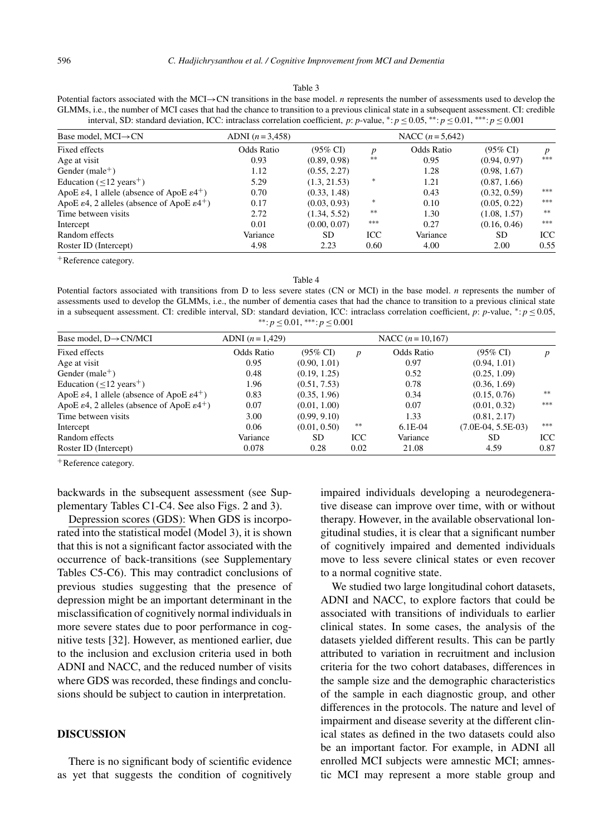#### Table 3

Potential factors associated with the MCI→CN transitions in the base model. *n* represents the number of assessments used to develop the GLMMs, i.e., the number of MCI cases that had the chance to transition to a previous clinical state in a subsequent assessment. CI: credible interval, SD: standard deviation, ICC: intraclass correlation coefficient, p: *p*-value, <sup>∗</sup>: *p* ≤ 0.05, ∗∗: *p* ≤ 0.01, ∗∗∗: *p* ≤ 0.001

| Base model, $MCI \rightarrow CN$                                                | ADNI $(n=3,458)$ |                     | NACC $(n=5,642)$ |            |                     |                  |
|---------------------------------------------------------------------------------|------------------|---------------------|------------------|------------|---------------------|------------------|
| Fixed effects                                                                   | Odds Ratio       | $(95\% \text{ CI})$ | p                | Odds Ratio | $(95\% \text{ CI})$ | $\boldsymbol{p}$ |
| Age at visit                                                                    | 0.93             | (0.89, 0.98)        | **               | 0.95       | (0.94, 0.97)        | $***$            |
| Gender (male <sup>+</sup> )                                                     | 1.12             | (0.55, 2.27)        |                  | 1.28       | (0.98, 1.67)        |                  |
| Education $(\leq 12 \text{ years}^+)$                                           | 5.29             | (1.3, 21.53)        | *                | 1.21       | (0.87, 1.66)        |                  |
| ApoE $\varepsilon$ 4, 1 allele (absence of ApoE $\varepsilon$ 4 <sup>+</sup> )  | 0.70             | (0.33, 1.48)        |                  | 0.43       | (0.32, 0.59)        | $***$            |
| ApoE $\varepsilon$ 4, 2 alleles (absence of ApoE $\varepsilon$ 4 <sup>+</sup> ) | 0.17             | (0.03, 0.93)        | *                | 0.10       | (0.05, 0.22)        | $***$            |
| Time between visits                                                             | 2.72             | (1.34, 5.52)        | $**$             | 1.30       | (1.08, 1.57)        | $**$             |
| Intercept                                                                       | 0.01             | (0.00, 0.07)        | ***              | 0.27       | (0.16, 0.46)        | ***              |
| Random effects                                                                  | Variance         | <b>SD</b>           | ICC              | Variance   | <b>SD</b>           | ICC              |
| Roster ID (Intercept)                                                           | 4.98             | 2.23                | 0.60             | 4.00       | 2.00                | 0.55             |

<sup>+</sup>Reference category.

Table 4

Potential factors associated with transitions from D to less severe states (CN or MCI) in the base model. *n* represents the number of assessments used to develop the GLMMs, i.e., the number of dementia cases that had the chance to transition to a previous clinical state in a subsequent assessment. CI: credible interval, SD: standard deviation, ICC: intraclass correlation coefficient, *p*: *p*-value, \*: *p* ≤ 0.05, \*\*\*: *p* ≤ 0.01, \*\*\*: *p* ≤ 0.001

| Base model, $D \rightarrow CN/MCI$                                              | ADNI $(n = 1,429)$ |                     |                  | NACC $(n = 10,167)$ |                      |       |
|---------------------------------------------------------------------------------|--------------------|---------------------|------------------|---------------------|----------------------|-------|
| Fixed effects                                                                   | Odds Ratio         | $(95\% \text{ CI})$ | $\boldsymbol{v}$ | Odds Ratio          | $(95\% \text{ CI})$  | p     |
| Age at visit                                                                    | 0.95               | (0.90, 1.01)        |                  | 0.97                | (0.94, 1.01)         |       |
| Gender $(male+)$                                                                | 0.48               | (0.19, 1.25)        |                  | 0.52                | (0.25, 1.09)         |       |
| Education $(\leq 12 \text{ years}^+)$                                           | 1.96               | (0.51, 7.53)        |                  | 0.78                | (0.36, 1.69)         |       |
| ApoE $\varepsilon$ 4, 1 allele (absence of ApoE $\varepsilon$ 4 <sup>+</sup> )  | 0.83               | (0.35, 1.96)        |                  | 0.34                | (0.15, 0.76)         | $**$  |
| ApoE $\varepsilon$ 4, 2 alleles (absence of ApoE $\varepsilon$ 4 <sup>+</sup> ) | 0.07               | (0.01, 1.00)        |                  | 0.07                | (0.01, 0.32)         | $***$ |
| Time between visits                                                             | 3.00               | (0.99, 9.10)        |                  | 1.33                | (0.81, 2.17)         |       |
| Intercept                                                                       | 0.06               | (0.01, 0.50)        | **               | $6.1E-04$           | $(7.0E-04, 5.5E-03)$ | ***   |
| Random effects                                                                  | Variance           | SD.                 | ICC              | Variance            | SD                   | ICC   |
| Roster ID (Intercept)                                                           | 0.078              | 0.28                | 0.02             | 21.08               | 4.59                 | 0.87  |

<sup>+</sup>Reference category.

backwards in the subsequent assessment (see Supplementary Tables C1-C4. See also Figs. 2 and 3).

Depression scores (GDS): When GDS is incorporated into the statistical model (Model 3), it is shown that this is not a significant factor associated with the occurrence of back-transitions (see Supplementary Tables C5-C6). This may contradict conclusions of previous studies suggesting that the presence of depression might be an important determinant in the misclassification of cognitively normal individuals in more severe states due to poor performance in cognitive tests [32]. However, as mentioned earlier, due to the inclusion and exclusion criteria used in both ADNI and NACC, and the reduced number of visits where GDS was recorded, these findings and conclusions should be subject to caution in interpretation.

## **DISCUSSION**

There is no significant body of scientific evidence as yet that suggests the condition of cognitively impaired individuals developing a neurodegenerative disease can improve over time, with or without therapy. However, in the available observational longitudinal studies, it is clear that a significant number of cognitively impaired and demented individuals move to less severe clinical states or even recover to a normal cognitive state.

We studied two large longitudinal cohort datasets, ADNI and NACC, to explore factors that could be associated with transitions of individuals to earlier clinical states. In some cases, the analysis of the datasets yielded different results. This can be partly attributed to variation in recruitment and inclusion criteria for the two cohort databases, differences in the sample size and the demographic characteristics of the sample in each diagnostic group, and other differences in the protocols. The nature and level of impairment and disease severity at the different clinical states as defined in the two datasets could also be an important factor. For example, in ADNI all enrolled MCI subjects were amnestic MCI; amnestic MCI may represent a more stable group and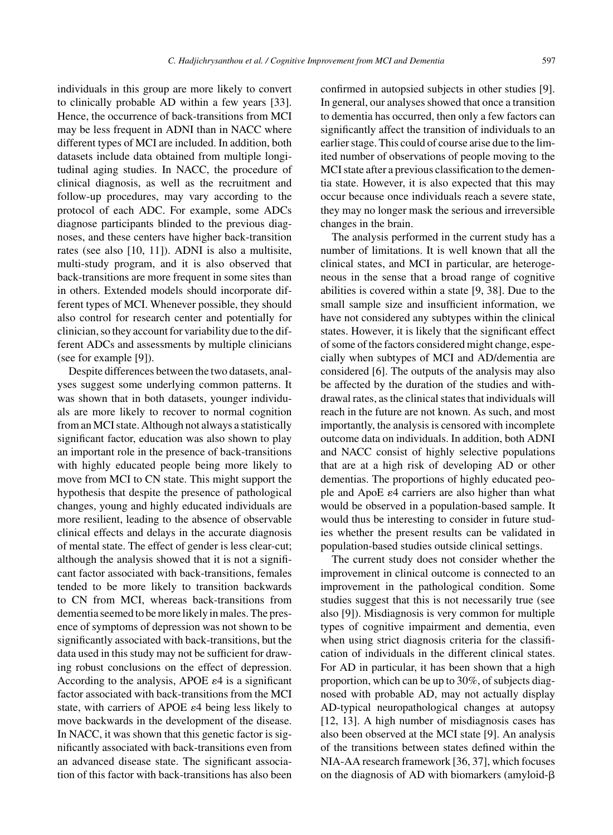individuals in this group are more likely to convert to clinically probable AD within a few years [33]. Hence, the occurrence of back-transitions from MCI may be less frequent in ADNI than in NACC where different types of MCI are included. In addition, both datasets include data obtained from multiple longitudinal aging studies. In NACC, the procedure of clinical diagnosis, as well as the recruitment and follow-up procedures, may vary according to the protocol of each ADC. For example, some ADCs diagnose participants blinded to the previous diagnoses, and these centers have higher back-transition rates (see also [10, 11]). ADNI is also a multisite, multi-study program, and it is also observed that back-transitions are more frequent in some sites than in others. Extended models should incorporate different types of MCI. Whenever possible, they should also control for research center and potentially for clinician, so they account for variability due to the different ADCs and assessments by multiple clinicians (see for example [9]).

Despite differences between the two datasets, analyses suggest some underlying common patterns. It was shown that in both datasets, younger individuals are more likely to recover to normal cognition from an MCI state. Although not always a statistically significant factor, education was also shown to play an important role in the presence of back-transitions with highly educated people being more likely to move from MCI to CN state. This might support the hypothesis that despite the presence of pathological changes, young and highly educated individuals are more resilient, leading to the absence of observable clinical effects and delays in the accurate diagnosis of mental state. The effect of gender is less clear-cut; although the analysis showed that it is not a significant factor associated with back-transitions, females tended to be more likely to transition backwards to CN from MCI, whereas back-transitions from dementia seemed to be more likely in males. The presence of symptoms of depression was not shown to be significantly associated with back-transitions, but the data used in this study may not be sufficient for drawing robust conclusions on the effect of depression. According to the analysis, APOE  $\varepsilon$ 4 is a significant factor associated with back-transitions from the MCI state, with carriers of APOE  $\varepsilon$ 4 being less likely to move backwards in the development of the disease. In NACC, it was shown that this genetic factor is significantly associated with back-transitions even from an advanced disease state. The significant association of this factor with back-transitions has also been

confirmed in autopsied subjects in other studies [9]. In general, our analyses showed that once a transition to dementia has occurred, then only a few factors can significantly affect the transition of individuals to an earlier stage. This could of course arise due to the limited number of observations of people moving to the MCI state after a previous classification to the dementia state. However, it is also expected that this may occur because once individuals reach a severe state, they may no longer mask the serious and irreversible changes in the brain.

The analysis performed in the current study has a number of limitations. It is well known that all the clinical states, and MCI in particular, are heterogeneous in the sense that a broad range of cognitive abilities is covered within a state [9, 38]. Due to the small sample size and insufficient information, we have not considered any subtypes within the clinical states. However, it is likely that the significant effect of some of the factors considered might change, especially when subtypes of MCI and AD/dementia are considered [6]. The outputs of the analysis may also be affected by the duration of the studies and withdrawal rates, as the clinical states that individuals will reach in the future are not known. As such, and most importantly, the analysis is censored with incomplete outcome data on individuals. In addition, both ADNI and NACC consist of highly selective populations that are at a high risk of developing AD or other dementias. The proportions of highly educated people and ApoE  $\varepsilon$ 4 carriers are also higher than what would be observed in a population-based sample. It would thus be interesting to consider in future studies whether the present results can be validated in population-based studies outside clinical settings.

The current study does not consider whether the improvement in clinical outcome is connected to an improvement in the pathological condition. Some studies suggest that this is not necessarily true (see also [9]). Misdiagnosis is very common for multiple types of cognitive impairment and dementia, even when using strict diagnosis criteria for the classification of individuals in the different clinical states. For AD in particular, it has been shown that a high proportion, which can be up to 30%, of subjects diagnosed with probable AD, may not actually display AD-typical neuropathological changes at autopsy [12, 13]. A high number of misdiagnosis cases has also been observed at the MCI state [9]. An analysis of the transitions between states defined within the NIA-AA research framework [36, 37], which focuses on the diagnosis of AD with biomarkers (amyloid- $\beta$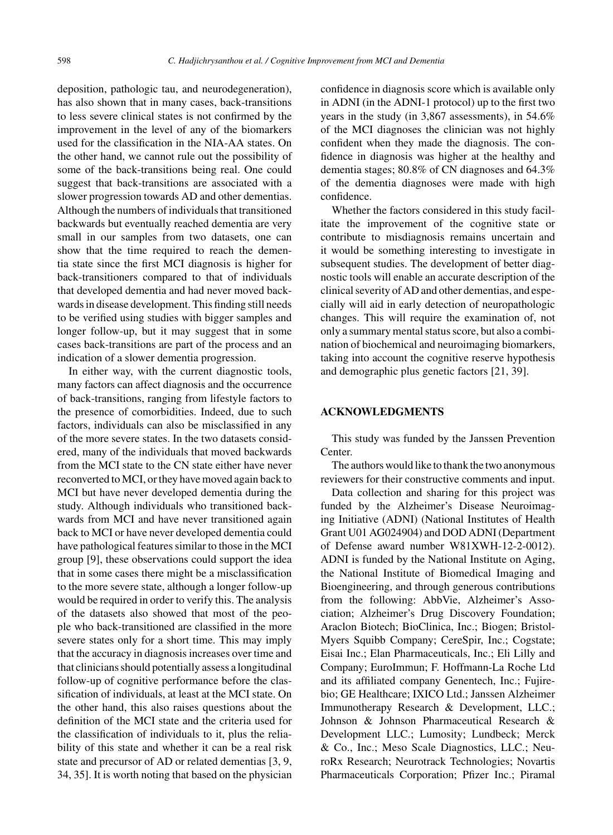deposition, pathologic tau, and neurodegeneration), has also shown that in many cases, back-transitions to less severe clinical states is not confirmed by the improvement in the level of any of the biomarkers used for the classification in the NIA-AA states. On the other hand, we cannot rule out the possibility of some of the back-transitions being real. One could suggest that back-transitions are associated with a slower progression towards AD and other dementias. Although the numbers of individuals that transitioned backwards but eventually reached dementia are very small in our samples from two datasets, one can show that the time required to reach the dementia state since the first MCI diagnosis is higher for back-transitioners compared to that of individuals that developed dementia and had never moved backwards in disease development. This finding still needs to be verified using studies with bigger samples and longer follow-up, but it may suggest that in some cases back-transitions are part of the process and an indication of a slower dementia progression.

In either way, with the current diagnostic tools, many factors can affect diagnosis and the occurrence of back-transitions, ranging from lifestyle factors to the presence of comorbidities. Indeed, due to such factors, individuals can also be misclassified in any of the more severe states. In the two datasets considered, many of the individuals that moved backwards from the MCI state to the CN state either have never reconverted to MCI, or they have moved again back to MCI but have never developed dementia during the study. Although individuals who transitioned backwards from MCI and have never transitioned again back to MCI or have never developed dementia could have pathological features similar to those in the MCI group [9], these observations could support the idea that in some cases there might be a misclassification to the more severe state, although a longer follow-up would be required in order to verify this. The analysis of the datasets also showed that most of the people who back-transitioned are classified in the more severe states only for a short time. This may imply that the accuracy in diagnosis increases over time and that clinicians should potentially assess a longitudinal follow-up of cognitive performance before the classification of individuals, at least at the MCI state. On the other hand, this also raises questions about the definition of the MCI state and the criteria used for the classification of individuals to it, plus the reliability of this state and whether it can be a real risk state and precursor of AD or related dementias [3, 9, 34, 35]. It is worth noting that based on the physician

confidence in diagnosis score which is available only in ADNI (in the ADNI-1 protocol) up to the first two years in the study (in 3,867 assessments), in 54.6% of the MCI diagnoses the clinician was not highly confident when they made the diagnosis. The confidence in diagnosis was higher at the healthy and dementia stages; 80.8% of CN diagnoses and 64.3% of the dementia diagnoses were made with high confidence.

Whether the factors considered in this study facilitate the improvement of the cognitive state or contribute to misdiagnosis remains uncertain and it would be something interesting to investigate in subsequent studies. The development of better diagnostic tools will enable an accurate description of the clinical severity of AD and other dementias, and especially will aid in early detection of neuropathologic changes. This will require the examination of, not only a summary mental status score, but also a combination of biochemical and neuroimaging biomarkers, taking into account the cognitive reserve hypothesis and demographic plus genetic factors [21, 39].

## **ACKNOWLEDGMENTS**

This study was funded by the Janssen Prevention Center.

The authors would like to thank the two anonymous reviewers for their constructive comments and input.

Data collection and sharing for this project was funded by the Alzheimer's Disease Neuroimaging Initiative (ADNI) (National Institutes of Health Grant U01 AG024904) and DOD ADNI (Department of Defense award number W81XWH-12-2-0012). ADNI is funded by the National Institute on Aging, the National Institute of Biomedical Imaging and Bioengineering, and through generous contributions from the following: AbbVie, Alzheimer's Association; Alzheimer's Drug Discovery Foundation; Araclon Biotech; BioClinica, Inc.; Biogen; Bristol-Myers Squibb Company; CereSpir, Inc.; Cogstate; Eisai Inc.; Elan Pharmaceuticals, Inc.; Eli Lilly and Company; EuroImmun; F. Hoffmann-La Roche Ltd and its affiliated company Genentech, Inc.; Fujirebio; GE Healthcare; IXICO Ltd.; Janssen Alzheimer Immunotherapy Research & Development, LLC.; Johnson & Johnson Pharmaceutical Research & Development LLC.; Lumosity; Lundbeck; Merck & Co., Inc.; Meso Scale Diagnostics, LLC.; NeuroRx Research; Neurotrack Technologies; Novartis Pharmaceuticals Corporation; Pfizer Inc.; Piramal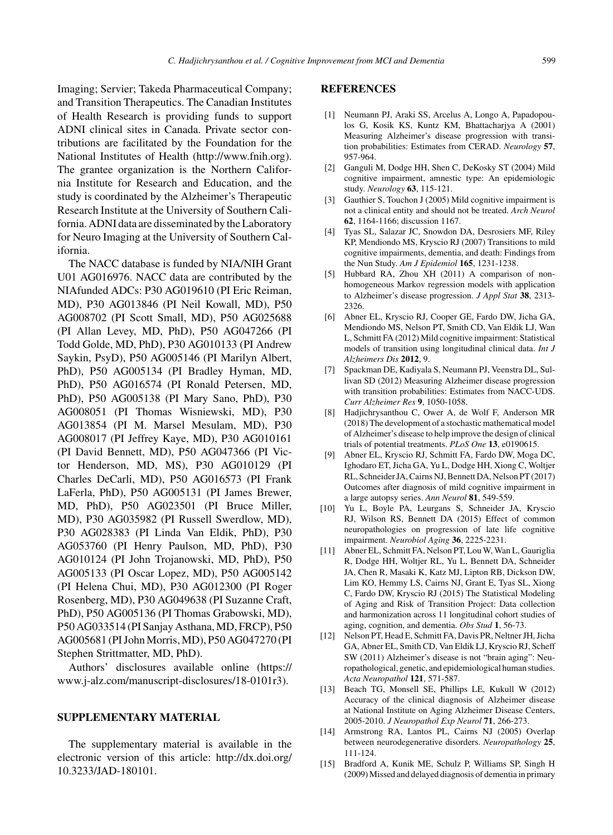Imaging; Servier; Takeda Pharmaceutical Company; and Transition Therapeutics. The Canadian Institutes of Health Research is providing funds to support ADNI clinical sites in Canada. Private sector contributions are facilitated by the Foundation for the National Institutes of Health ([http://www.fnih.org\)](http://www.fnih.org). The grantee organization is the Northern California Institute for Research and Education, and the study is coordinated by the Alzheimer's Therapeutic Research Institute at the University of Southern California. ADNI data are disseminated by the Laboratory for Neuro Imaging at the University of Southern Cal-

ifornia.

The NACC database is funded by NIA/NIH Grant U01 AG016976. NACC data are contributed by the NIAfunded ADCs: P30 AG019610 (PI Eric Reiman, MD), P30 AG013846 (PI Neil Kowall, MD), P50 AG008702 (PI Scott Small, MD), P50 AG025688 (PI Allan Levey, MD, PhD), P50 AG047266 (PI Todd Golde, MD, PhD), P30 AG010133 (PI Andrew Saykin, PsyD), P50 AG005146 (PI Marilyn Albert, PhD), P50 AG005134 (PI Bradley Hyman, MD, PhD), P50 AG016574 (PI Ronald Petersen, MD, PhD), P50 AG005138 (PI Mary Sano, PhD), P30 AG008051 (PI Thomas Wisniewski, MD), P30 AG013854 (PI M. Marsel Mesulam, MD), P30 AG008017 (PI Jeffrey Kaye, MD), P30 AG010161 (PI David Bennett, MD), P50 AG047366 (PI Victor Henderson, MD, MS), P30 AG010129 (PI Charles DeCarli, MD), P50 AG016573 (PI Frank LaFerla, PhD), P50 AG005131 (PI James Brewer, MD, PhD), P50 AG023501 (PI Bruce Miller, MD), P30 AG035982 (PI Russell Swerdlow, MD), P30 AG028383 (PI Linda Van Eldik, PhD), P30 AG053760 (PI Henry Paulson, MD, PhD), P30 AG010124 (PI John Trojanowski, MD, PhD), P50 AG005133 (PI Oscar Lopez, MD), P50 AG005142 (PI Helena Chui, MD), P30 AG012300 (PI Roger Rosenberg, MD), P30 AG049638 (PI Suzanne Craft, PhD), P50 AG005136 (PI Thomas Grabowski, MD), P50 AG033514 (PI Sanjay Asthana, MD, FRCP), P50 AG005681 (PI John Morris, MD), P50 AG047270 (PI Stephen Strittmatter, MD, PhD).

Authors' disclosures available online ([https://](https://www.j-alz.com/manuscript-disclosures/18-0101r3) [www.j-alz.com/manuscript-disclosures/18-0101r3\)](https://www.j-alz.com/manuscript-disclosures/18-0101r3).

## **SUPPLEMENTARY MATERIAL**

The supplementary material is available in the electronic version of this article: [http://dx.doi.org/](http://dx.doi.org/10.3233/JAD-180101) [10.3233/JAD-180101.](http://dx.doi.org/10.3233/JAD-180101)

## **REFERENCES**

- [1] Neumann PJ, Araki SS, Arcelus A, Longo A, Papadopoulos G, Kosik KS, Kuntz KM, Bhattacharjya A (2001) Measuring Alzheimer's disease progression with transition probabilities: Estimates from CERAD. *Neurology* **57**, 957-964.
- [2] Ganguli M, Dodge HH, Shen C, DeKosky ST (2004) Mild cognitive impairment, amnestic type: An epidemiologic study. *Neurology* **63**, 115-121.
- [3] Gauthier S, Touchon J (2005) Mild cognitive impairment is not a clinical entity and should not be treated. *Arch Neurol* **62**, 1164-1166; discussion 1167.
- [4] Tyas SL, Salazar JC, Snowdon DA, Desrosiers MF, Riley KP, Mendiondo MS, Kryscio RJ (2007) Transitions to mild cognitive impairments, dementia, and death: Findings from the Nun Study. *Am J Epidemiol* **165**, 1231-1238.
- [5] Hubbard RA, Zhou XH (2011) A comparison of nonhomogeneous Markov regression models with application to Alzheimer's disease progression. *J Appl Stat* **38**, 2313- 2326.
- [6] Abner EL, Kryscio RJ, Cooper GE, Fardo DW, Jicha GA, Mendiondo MS, Nelson PT, Smith CD, Van Eldik LJ, Wan L, Schmitt FA (2012) Mild cognitive impairment: Statistical models of transition using longitudinal clinical data. *Int J Alzheimers Dis* **2012**, 9.
- [7] Spackman DE, Kadiyala S, Neumann PJ, Veenstra DL, Sullivan SD (2012) Measuring Alzheimer disease progression with transition probabilities: Estimates from NACC-UDS. *Curr Alzheimer Res* **9**, 1050-1058.
- [8] Hadjichrysanthou C, Ower A, de Wolf F, Anderson MR (2018) The development of a stochastic mathematical model of Alzheimer's disease to help improve the design of clinical trials of potential treatments. *PLoS One* **13**, e0190615.
- [9] Abner EL, Kryscio RJ, Schmitt FA, Fardo DW, Moga DC, Ighodaro ET, Jicha GA, Yu L, Dodge HH, Xiong C, Woltjer RL, Schneider JA, Cairns NJ, Bennett DA, Nelson PT (2017) Outcomes after diagnosis of mild cognitive impairment in a large autopsy series. *Ann Neurol* **81**, 549-559.
- [10] Yu L, Boyle PA, Leurgans S, Schneider JA, Kryscio RJ, Wilson RS, Bennett DA (2015) Effect of common neuropathologies on progression of late life cognitive impairment. *Neurobiol Aging* **36**, 2225-2231.
- [11] Abner EL, Schmitt FA, Nelson PT, Lou W, Wan L, Gauriglia R, Dodge HH, Woltjer RL, Yu L, Bennett DA, Schneider JA, Chen R, Masaki K, Katz MJ, Lipton RB, Dickson DW, Lim KO, Hemmy LS, Cairns NJ, Grant E, Tyas SL, Xiong C, Fardo DW, Kryscio RJ (2015) The Statistical Modeling of Aging and Risk of Transition Project: Data collection and harmonization across 11 longitudinal cohort studies of aging, cognition, and dementia. *Obs Stud* **1**, 56-73.
- [12] Nelson PT, Head E, Schmitt FA, Davis PR, Neltner JH, Jicha GA, Abner EL, Smith CD, Van Eldik LJ, Kryscio RJ, Scheff SW (2011) Alzheimer's disease is not "brain aging": Neuropathological, genetic, and epidemiological human studies. *Acta Neuropathol* **121**, 571-587.
- [13] Beach TG, Monsell SE, Phillips LE, Kukull W (2012) Accuracy of the clinical diagnosis of Alzheimer disease at National Institute on Aging Alzheimer Disease Centers, 2005-2010. *J Neuropathol Exp Neurol* **71**, 266-273.
- [14] Armstrong RA, Lantos PL, Cairns NJ (2005) Overlap between neurodegenerative disorders. *Neuropathology* **25**, 111-124.
- [15] Bradford A, Kunik ME, Schulz P, Williams SP, Singh H (2009) Missed and delayed diagnosis of dementia in primary